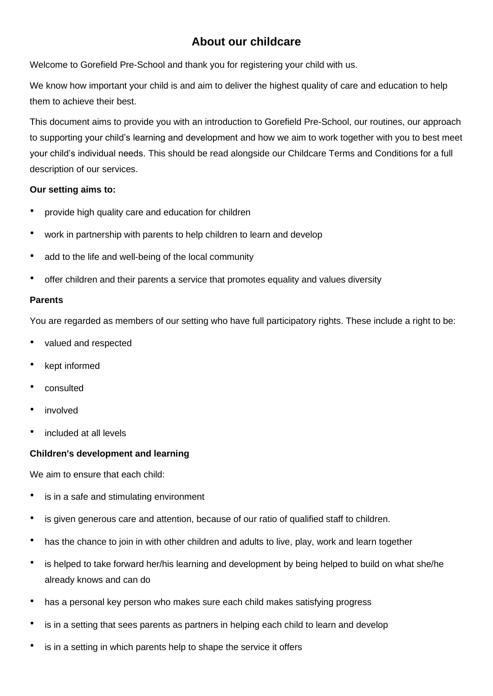# **About our childcare**

Welcome to Gorefield Pre-School and thank you for registering your child with us.

We know how important your child is and aim to deliver the highest quality of care and education to help them to achieve their best.

This document aims to provide you with an introduction to Gorefield Pre-School, our routines, our approach to supporting your child's learning and development and how we aim to work together with you to best meet your child's individual needs. This should be read alongside our Childcare Terms and Conditions for a full description of our services.

### **Our setting aims to:**

- provide high quality care and education for children
- work in partnership with parents to help children to learn and develop
- add to the life and well-being of the local community
- offer children and their parents a service that promotes equality and values diversity

### **Parents**

You are regarded as members of our setting who have full participatory rights. These include a right to be:

- valued and respected
- kept informed
- consulted
- *involved*
- included at all levels

### **Children's development and learning**

We aim to ensure that each child:

- is in a safe and stimulating environment
- is given generous care and attention, because of our ratio of qualified staff to children.
- has the chance to join in with other children and adults to live, play, work and learn together
- is helped to take forward her/his learning and development by being helped to build on what she/he already knows and can do
- has a personal key person who makes sure each child makes satisfying progress
- is in a setting that sees parents as partners in helping each child to learn and develop
- is in a setting in which parents help to shape the service it offers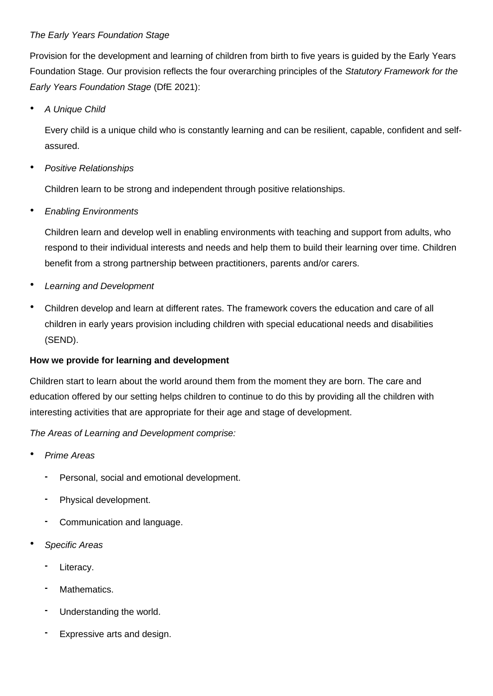# *The Early Years Foundation Stage*

Provision for the development and learning of children from birth to five years is guided by the Early Years Foundation Stage. Our provision reflects the four overarching principles of the *Statutory Framework for the Early Years Foundation Stage* (DfE 2021):

• *A Unique Child*

Every child is a unique child who is constantly learning and can be resilient, capable, confident and selfassured.

• *Positive Relationships*

Children learn to be strong and independent through positive relationships.

• *Enabling Environments*

Children learn and develop well in enabling environments with teaching and support from adults, who respond to their individual interests and needs and help them to build their learning over time. Children benefit from a strong partnership between practitioners, parents and/or carers.

- *Learning and Development*
- Children develop and learn at different rates. The framework covers the education and care of all children in early years provision including children with special educational needs and disabilities (SEND).

# **How we provide for learning and development**

Children start to learn about the world around them from the moment they are born. The care and education offered by our setting helps children to continue to do this by providing all the children with interesting activities that are appropriate for their age and stage of development.

*The Areas of Learning and Development comprise:*

- *Prime Areas*
	- **-** Personal, social and emotional development.
	- **-** Physical development.
	- **-** Communication and language.
- *Specific Areas*
	- **-** Literacy.
	- **-** Mathematics.
	- **-** Understanding the world.
	- **-** Expressive arts and design.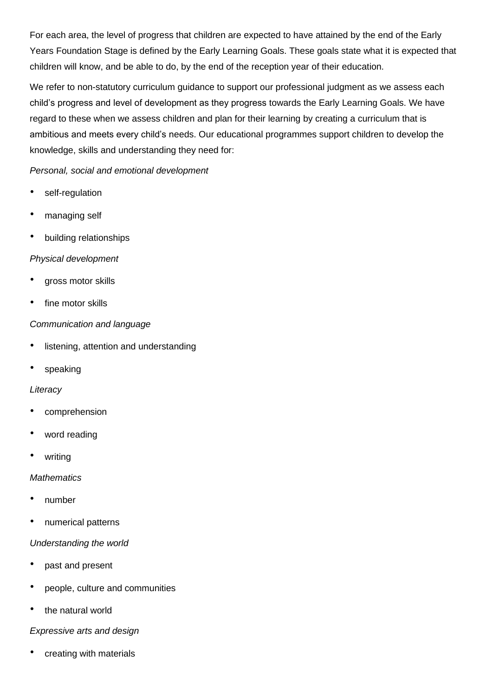For each area, the level of progress that children are expected to have attained by the end of the Early Years Foundation Stage is defined by the Early Learning Goals. These goals state what it is expected that children will know, and be able to do, by the end of the reception year of their education.

We refer to non-statutory curriculum quidance to support our professional judgment as we assess each child's progress and level of development as they progress towards the Early Learning Goals. We have regard to these when we assess children and plan for their learning by creating a curriculum that is ambitious and meets every child's needs. Our educational programmes support children to develop the knowledge, skills and understanding they need for:

# *Personal, social and emotional development*

- self-regulation
- managing self
- building relationships

# *Physical development*

- gross motor skills
- fine motor skills

### *Communication and language*

- listening, attention and understanding
- speaking

# *Literacy*

- comprehension
- word reading
- writing

### *Mathematics*

- number
- numerical patterns

### *Understanding the world*

- past and present
- people, culture and communities
- the natural world

### *Expressive arts and design*

creating with materials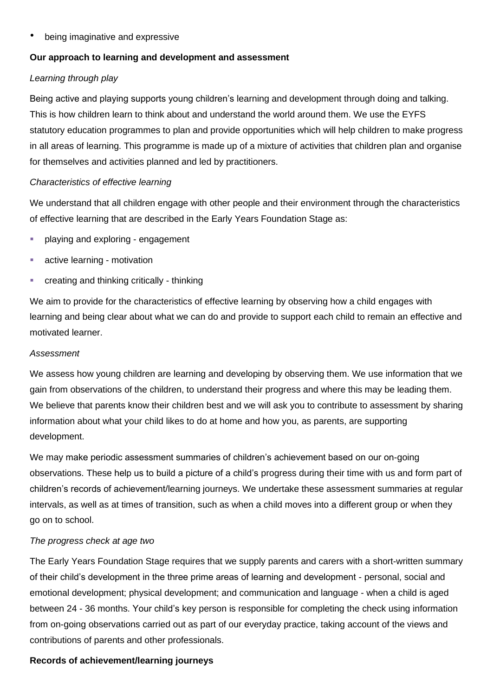• being imaginative and expressive

# **Our approach to learning and development and assessment**

# *Learning through play*

Being active and playing supports young children's learning and development through doing and talking. This is how children learn to think about and understand the world around them. We use the EYFS statutory education programmes to plan and provide opportunities which will help children to make progress in all areas of learning. This programme is made up of a mixture of activities that children plan and organise for themselves and activities planned and led by practitioners.

### *Characteristics of effective learning*

We understand that all children engage with other people and their environment through the characteristics of effective learning that are described in the Early Years Foundation Stage as:

- playing and exploring engagement
- active learning motivation
- creating and thinking critically thinking

We aim to provide for the characteristics of effective learning by observing how a child engages with learning and being clear about what we can do and provide to support each child to remain an effective and motivated learner.

### *Assessment*

We assess how young children are learning and developing by observing them. We use information that we gain from observations of the children, to understand their progress and where this may be leading them. We believe that parents know their children best and we will ask you to contribute to assessment by sharing information about what your child likes to do at home and how you, as parents, are supporting development.

We may make periodic assessment summaries of children's achievement based on our on-going observations. These help us to build a picture of a child's progress during their time with us and form part of children's records of achievement/learning journeys. We undertake these assessment summaries at regular intervals, as well as at times of transition, such as when a child moves into a different group or when they go on to school.

# *The progress check at age two*

The Early Years Foundation Stage requires that we supply parents and carers with a short-written summary of their child's development in the three prime areas of learning and development - personal, social and emotional development; physical development; and communication and language - when a child is aged between 24 - 36 months. Your child's key person is responsible for completing the check using information from on-going observations carried out as part of our everyday practice, taking account of the views and contributions of parents and other professionals.

### **Records of achievement/learning journeys**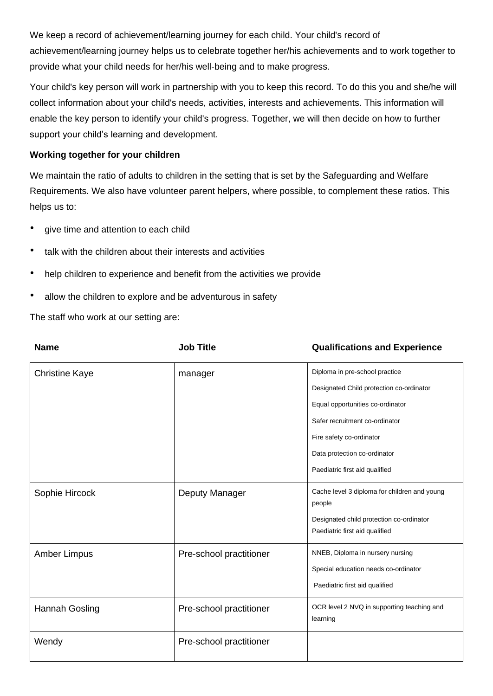We keep a record of achievement/learning journey for each child. Your child's record of achievement/learning journey helps us to celebrate together her/his achievements and to work together to provide what your child needs for her/his well-being and to make progress.

Your child's key person will work in partnership with you to keep this record. To do this you and she/he will collect information about your child's needs, activities, interests and achievements. This information will enable the key person to identify your child's progress. Together, we will then decide on how to further support your child's learning and development.

# **Working together for your children**

We maintain the ratio of adults to children in the setting that is set by the Safeguarding and Welfare Requirements. We also have volunteer parent helpers, where possible, to complement these ratios. This helps us to:

- give time and attention to each child
- talk with the children about their interests and activities
- help children to experience and benefit from the activities we provide
- allow the children to explore and be adventurous in safety

The staff who work at our setting are:

| <b>Name</b>           | <b>Job Title</b>        | <b>Qualifications and Experience</b>                                       |
|-----------------------|-------------------------|----------------------------------------------------------------------------|
| <b>Christine Kaye</b> | manager                 | Diploma in pre-school practice                                             |
|                       |                         | Designated Child protection co-ordinator                                   |
|                       |                         | Equal opportunities co-ordinator                                           |
|                       |                         | Safer recruitment co-ordinator                                             |
|                       |                         | Fire safety co-ordinator                                                   |
|                       |                         | Data protection co-ordinator                                               |
|                       |                         | Paediatric first aid qualified                                             |
| Sophie Hircock        | Deputy Manager          | Cache level 3 diploma for children and young<br>people                     |
|                       |                         | Designated child protection co-ordinator<br>Paediatric first aid qualified |
| Amber Limpus          | Pre-school practitioner | NNEB, Diploma in nursery nursing                                           |
|                       |                         | Special education needs co-ordinator                                       |
|                       |                         | Paediatric first aid qualified                                             |
| Hannah Gosling        | Pre-school practitioner | OCR level 2 NVQ in supporting teaching and<br>learning                     |
| Wendy                 | Pre-school practitioner |                                                                            |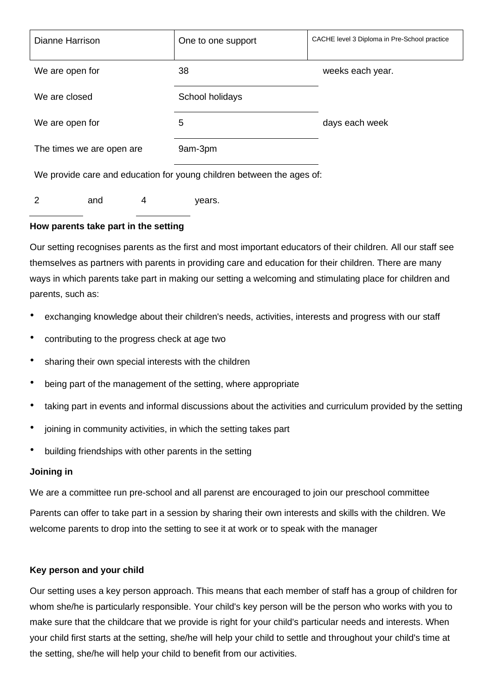| Dianne Harrison                                                       | One to one support | CACHE level 3 Diploma in Pre-School practice |  |
|-----------------------------------------------------------------------|--------------------|----------------------------------------------|--|
| We are open for                                                       | 38                 | weeks each year.                             |  |
| We are closed                                                         | School holidays    |                                              |  |
| We are open for                                                       | 5                  | days each week                               |  |
| The times we are open are                                             | 9am-3pm            |                                              |  |
| We provide care and education for young children between the ages of: |                    |                                              |  |

2 and 4 years.

# **How parents take part in the setting**

Our setting recognises parents as the first and most important educators of their children. All our staff see themselves as partners with parents in providing care and education for their children. There are many ways in which parents take part in making our setting a welcoming and stimulating place for children and parents, such as:

- exchanging knowledge about their children's needs, activities, interests and progress with our staff
- contributing to the progress check at age two
- sharing their own special interests with the children
- being part of the management of the setting, where appropriate
- taking part in events and informal discussions about the activities and curriculum provided by the setting
- joining in community activities, in which the setting takes part
- building friendships with other parents in the setting

# **Joining in**

We are a committee run pre-school and all parenst are encouraged to join our preschool committee

Parents can offer to take part in a session by sharing their own interests and skills with the children. We welcome parents to drop into the setting to see it at work or to speak with the manager

### **Key person and your child**

Our setting uses a key person approach. This means that each member of staff has a group of children for whom she/he is particularly responsible. Your child's key person will be the person who works with you to make sure that the childcare that we provide is right for your child's particular needs and interests. When your child first starts at the setting, she/he will help your child to settle and throughout your child's time at the setting, she/he will help your child to benefit from our activities.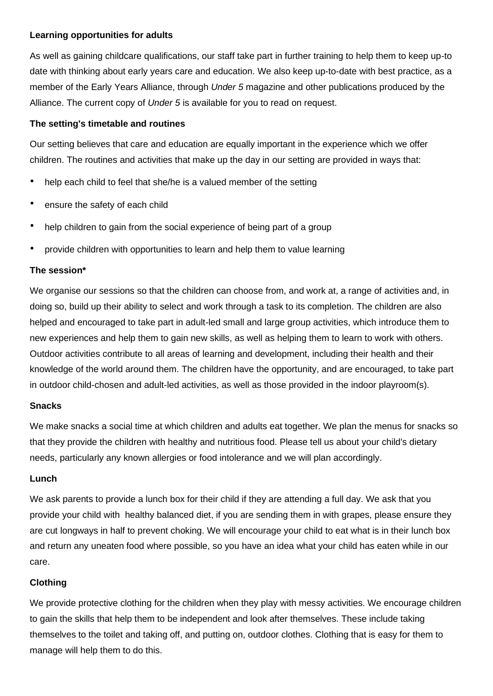### **Learning opportunities for adults**

As well as gaining childcare qualifications, our staff take part in further training to help them to keep up-to date with thinking about early years care and education. We also keep up-to-date with best practice, as a member of the Early Years Alliance, through *Under 5* magazine and other publications produced by the Alliance. The current copy of *Under 5* is available for you to read on request.

### **The setting's timetable and routines**

Our setting believes that care and education are equally important in the experience which we offer children. The routines and activities that make up the day in our setting are provided in ways that:

- help each child to feel that she/he is a valued member of the setting
- ensure the safety of each child
- help children to gain from the social experience of being part of a group
- provide children with opportunities to learn and help them to value learning

### **The session\***

We organise our sessions so that the children can choose from, and work at, a range of activities and, in doing so, build up their ability to select and work through a task to its completion. The children are also helped and encouraged to take part in adult-led small and large group activities, which introduce them to new experiences and help them to gain new skills, as well as helping them to learn to work with others. Outdoor activities contribute to all areas of learning and development, including their health and their knowledge of the world around them. The children have the opportunity, and are encouraged, to take part in outdoor child-chosen and adult-led activities, as well as those provided in the indoor playroom(s).

# **Snacks**

We make snacks a social time at which children and adults eat together. We plan the menus for snacks so that they provide the children with healthy and nutritious food. Please tell us about your child's dietary needs, particularly any known allergies or food intolerance and we will plan accordingly.

# **Lunch**

We ask parents to provide a lunch box for their child if they are attending a full day. We ask that you provide your child with healthy balanced diet, if you are sending them in with grapes, please ensure they are cut longways in half to prevent choking. We will encourage your child to eat what is in their lunch box and return any uneaten food where possible, so you have an idea what your child has eaten while in our care.

# **Clothing**

We provide protective clothing for the children when they play with messy activities. We encourage children to gain the skills that help them to be independent and look after themselves. These include taking themselves to the toilet and taking off, and putting on, outdoor clothes. Clothing that is easy for them to manage will help them to do this.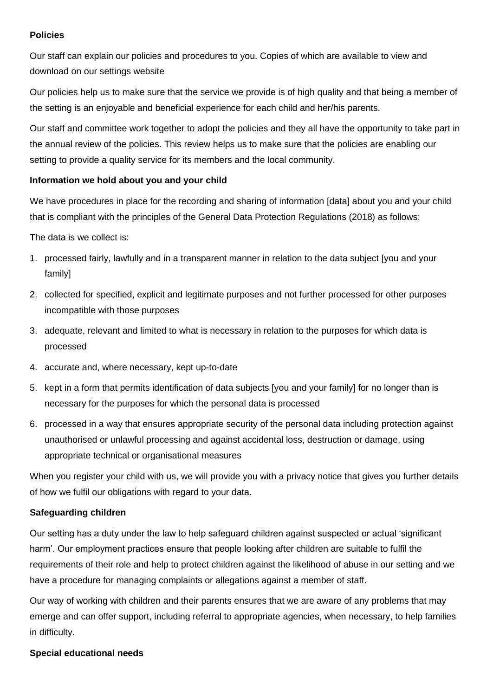### **Policies**

Our staff can explain our policies and procedures to you. Copies of which are available to view and download on our settings website

Our policies help us to make sure that the service we provide is of high quality and that being a member of the setting is an enjoyable and beneficial experience for each child and her/his parents.

Our staff and committee work together to adopt the policies and they all have the opportunity to take part in the annual review of the policies. This review helps us to make sure that the policies are enabling our setting to provide a quality service for its members and the local community.

### **Information we hold about you and your child**

We have procedures in place for the recording and sharing of information [data] about you and your child that is compliant with the principles of the General Data Protection Regulations (2018) as follows:

The data is we collect is:

- 1. processed fairly, lawfully and in a transparent manner in relation to the data subject [you and your family]
- 2. collected for specified, explicit and legitimate purposes and not further processed for other purposes incompatible with those purposes
- 3. adequate, relevant and limited to what is necessary in relation to the purposes for which data is processed
- 4. accurate and, where necessary, kept up-to-date
- 5. kept in a form that permits identification of data subjects [you and your family] for no longer than is necessary for the purposes for which the personal data is processed
- 6. processed in a way that ensures appropriate security of the personal data including protection against unauthorised or unlawful processing and against accidental loss, destruction or damage, using appropriate technical or organisational measures

When you register your child with us, we will provide you with a privacy notice that gives you further details of how we fulfil our obligations with regard to your data.

# **Safeguarding children**

Our setting has a duty under the law to help safeguard children against suspected or actual 'significant harm'. Our employment practices ensure that people looking after children are suitable to fulfil the requirements of their role and help to protect children against the likelihood of abuse in our setting and we have a procedure for managing complaints or allegations against a member of staff.

Our way of working with children and their parents ensures that we are aware of any problems that may emerge and can offer support, including referral to appropriate agencies, when necessary, to help families in difficulty.

### **Special educational needs**